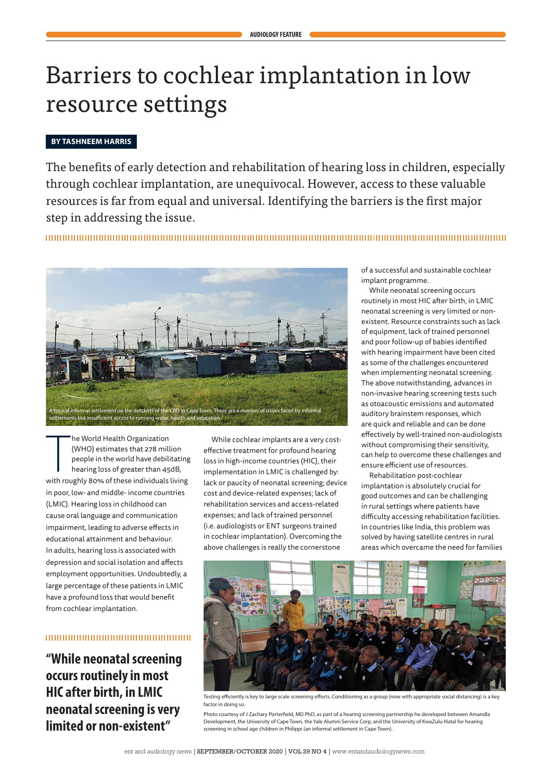# Barriers to cochlear implantation in low resource settings

## **BY TASHNEEM HARRIS**

The benefits of early detection and rehabilitation of hearing loss in children, especially through cochlear implantation, are unequivocal. However, access to these valuable resources is far from equal and universal. Identifying the barriers is the first major step in addressing the issue.



he World Health Organization<br>
(WHO) estimates that 278 million<br>
people in the world have debilitating<br>
hearing loss of greater than 45dB,<br>
with roughly 80% of these individuals living he World Health Organization (WHO) estimates that 278 million people in the world have debilitating hearing loss of greater than 45dB, in poor, low- and middle- income countries (LMIC). Hearing loss in childhood can cause oral language and communication impairment, leading to adverse effects in educational attainment and behaviour. In adults, hearing loss is associated with depression and social isolation and affects employment opportunities. Undoubtedly, a large percentage of these patients in LMIC have a profound loss that would benefit from cochlear implantation.

#### 

**"While neonatal screening occurs routinely in most HIC after birth, in LMIC neonatal screening is very limited or non-existent"**

While cochlear implants are a very costeffective treatment for profound hearing loss in high-income countries (HIC), their implementation in LMIC is challenged by: lack or paucity of neonatal screening; device cost and device-related expenses; lack of rehabilitation services and access-related expenses; and lack of trained personnel (i.e. audiologists or ENT surgeons trained in cochlear implantation). Overcoming the above challenges is really the cornerstone

of a successful and sustainable cochlear implant programme.

While neonatal screening occurs routinely in most HIC after birth, in LMIC neonatal screening is very limited or nonexistent. Resource constraints such as lack of equipment, lack of trained personnel and poor follow-up of babies identified with hearing impairment have been cited as some of the challenges encountered when implementing neonatal screening. The above notwithstanding, advances in non-invasive hearing screening tests such as otoacoustic emissions and automated auditory brainstem responses, which are quick and reliable and can be done effectively by well-trained non-audiologists without compromising their sensitivity, can help to overcome these challenges and ensure efficient use of resources.

Rehabilitation post-cochlear implantation is absolutely crucial for good outcomes and can be challenging in rural settings where patients have difficulty accessing rehabilitation facilities. In countries like India, this problem was solved by having satellite centres in rural areas which overcame the need for families



Testing efficiently is key to large scale screening efforts. Conditioning as a group (now with appropriate social distancing) is a key factor in doing so.

Photo courtesy of J Zachary Porterfield, MD PhD, as part of a hearing screening partnership he developed between Amandla Development, the University of Cape Town, the Yale Alumni Service Corp, and the University of KwaZulu-Natal for hearing screening in school age children in Philippi (an informal settlement in Cape Town).